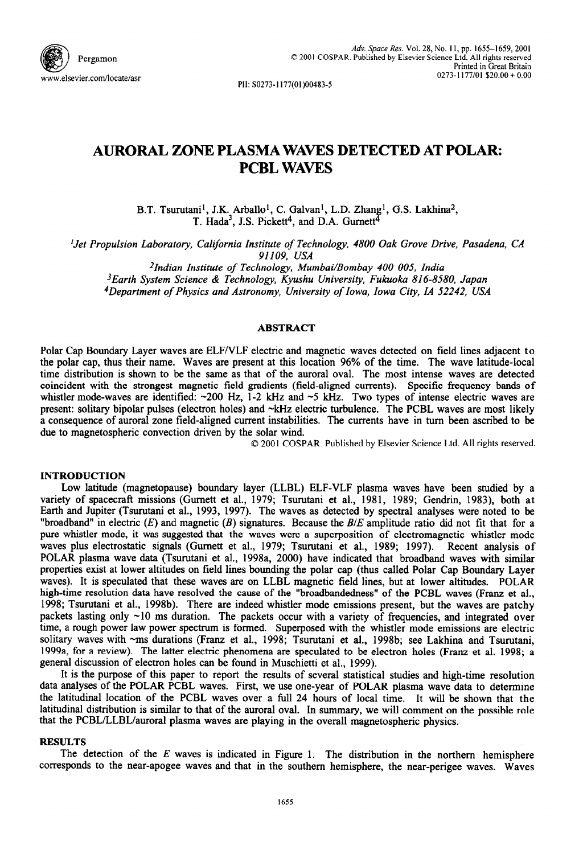

PII: SO273-1177(01)00483-5

# **AURORAL ZONE PLASMA WAVES DETECTED AT POLAR: PCBL WAVES**

B.T. Tsurutani<sup>1</sup>, J.K. Arballo<sup>1</sup>, C. Galvan<sup>1</sup>, L.D. Zhang<sup>1</sup>, G.S. Lakhina<sup>2</sup>, T. Hada<sup>3</sup>, J.S. Pickett<sup>4</sup>, and D.A. Gurnett<sup>4</sup>

*'Jet Propulsion Laboratory, California institute of Technology, 4800 Oak Grove Drive, Pasadena, CA 91109, USA* 

*2Indian Institute of Technology, Mumbai/Bombay 400 005, India 3Earth System Science & Technology, Kyushu University, Fukuoka 816-8580, Japan*  <sup>4</sup>Department of Physics and Astronomy, University of Iowa, Iowa City, IA 52242, USA

#### **ABSTRACT**

Polar Cap Boundary Layer waves are ELFNLF electric and magnetic waves detected on field lines adjacent to the polar cap, thus their name. Waves are present at this location 96% of the time. The wave latitude-local time distribution is shown to be the same as that of the aurora1 oval. The most intense waves are detected coincident with the strongest magnetic field gradients (field-aligned currents). Specific frequency bands of whistler mode-waves are identified:  $\sim$ 200 Hz, 1-2 kHz and  $\sim$ 5 kHz. Two types of intense electric waves are present: solitary bipolar pulses (electron holes) and ~kHz electric turbulence. The PCBL waves are most likely a consequence of aurora1 zone field-aligned current instabilities. The currents have in turn been ascribed to be due to magnetospheric convection driven by the solar wind.

0 2001 COSPAR. Published by Elsevier Science Ltd. All rights reserved.

## **INTRODUCTION**

Low latitude (magnetopause) boundary layer (LLBL) ELF-VLF plasma waves have been studied by a variety of spacecraft missions (Gurnett et al., 1979; Tsurutani et al., 1981, 1989; Gendrin, 1983), both at Earth and Jupiter (Tsurutani et al., 1993, 1997). The waves as detected by spectral analyses were noted to be "broadband" in electric *(E)* and magnetic *(B)* signatures. Because the *B/E* amplitude ratio did not fit that for a pure whistler mode, it was suggested that the waves were a superposition of electromagnetic whistler mode waves plus electrostatic signals (Gurnett et al., 1979; Tsurutani et al., 1989; 1997). Recent analysis of POLAR plasma wave data (Tsurutani et al., 1998a, 2000) have indicated that broadband waves with similar properties exist at lower altitudes on field lines bounding the polar cap (thus called Polar Cap Boundary Layer waves). It is speculated that these waves are on LLBL magnetic field lines, but at lower altitudes. POLAR high-time resolution data have resolved the cause of the "broadbandedness" of the PCBL waves (Franz et al., 1998; Tsurutani et al., 1998b). There are indeed whistler mode emissions present, but the waves are patchy packets lasting only ~10 ms duration. The packets occur with a variety of frequencies, and integrated over time, a rough power law power spectrum is formed. Superposed with the whistler mode emissions are electric solitary waves with ~ms durations (Franz et al., 1998; Tsurutani et al., 1998b; see Lakhina and Tsurutani, 1999a, for a review). The latter electric phenomena are speculated to be electron holes (Franz et al. 1998; a general discussion of electron holes can be found in Muschietti et al., 1999).

It is the purpose of this paper to report the results of several statistical studies and high-time resolution data analyses of the POLAR PCBL waves. First, we use one-year of POLAR plasma wave data to determine the latitudinal location of the PCBL waves over a full 24 hours of local time. It will be shown that the latitudinal distribution is similar to that of the auroral oval. In summary, we will comment on the possible role that the PCBL/LLBL/auroral plasma waves are playing in the overall magnetospheric physics.

#### **RESULTS**

The detection of the *E* waves is indicated in Figure 1. The distribution in the northern hemisphere corresponds to the near-apogee waves and that in the southern hemisphere, the near-perigee waves. Waves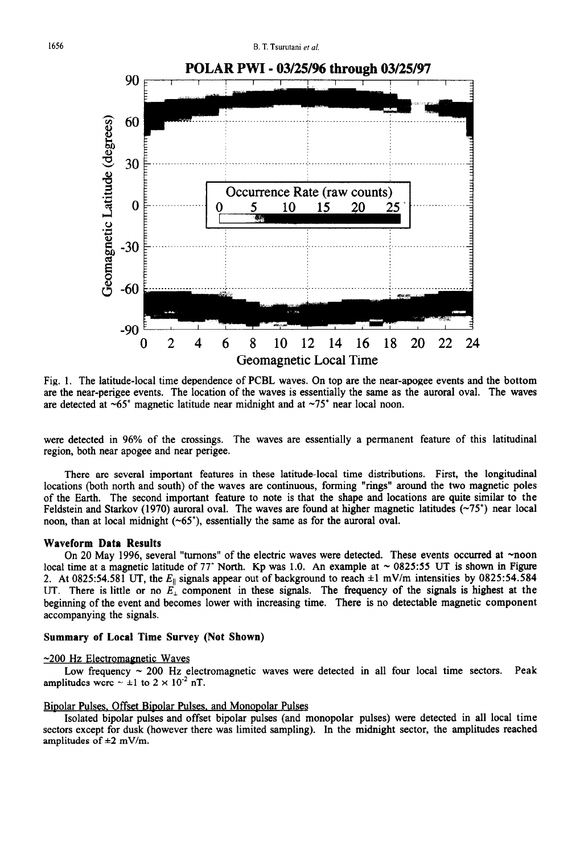

Fig. 1. The latitude-local time dependence of PCBL waves. On top are the near-apogee events and the bottom are the near-perigee events. The location of the waves is essentially the same as the aurora1 oval. The waves are detected at  $\sim 65^\circ$  magnetic latitude near midnight and at  $\sim 75^\circ$  near local noon.

were detected in 96% of the crossings. The waves are essentially a permanent feature of this latitudinal region, both near apogee and near perigee.

There are several important features in these latitude-local time distributions. First, the longitudinal locations (both north and south) of the waves are continuous, forming "rings" around the two magnetic poles of the Earth. The second important feature to note is that the shape and locations are quite similar to the Feldstein and Starkov (1970) auroral oval. The waves are found at higher magnetic latitudes ( $\sim$ 75°) near local noon, than at local midnight  $(-65^{\circ})$ , essentially the same as for the auroral oval.

#### **Waveform Data Results**

On 20 May 1996, several "turnons" of the electric waves were detected. These events occurred at ~noon local time at a magnetic latitude of 77° North. Kp was 1.0. An example at  $\sim 0825:55$  UT is shown in Figure 2. At 0825:54.581 UT, the  $E_{\parallel}$  signals appear out of background to reach  $\pm 1$  mV/m intensities by 0825:54.584 UT. There is little or no  $E_i$  component in these signals. The frequency of the signals is highest at the beginning of the event and becomes lower with increasing time. There is no detectable magnetic component accompanying the signals.

## **Summary of Local Time Survey (Not Shown)**

### **-200** Hz Electromagnetic Waves

Low frequency  $\sim 200$  Hz electromagnetic waves were detected in all four local time sectors. Peak amplitudes were  $\sim \pm 1$  to  $2 \times 10^{-2}$  nT.

## Bipolar Pulses, Offset Bipolar Pulses, and Monopolar Pulses

Isolated bipolar pulses and offset bipolar pulses (and monopolar pulses) were detected in all local time sectors except for dusk (however there was limited sampling). In the midnight sector, the amplitudes reached amplitudes of  $\pm 2$  mV/m.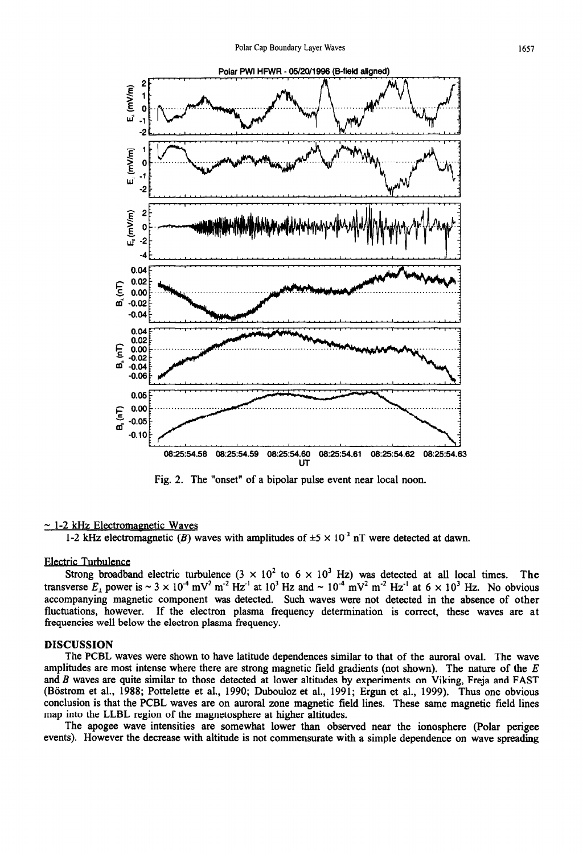

Fig. 2. The "onset" of a bipolar pulse event near local noon.

#### $\sim$  1-2 kHz Electromagnetic Waves

1-2 kHz electromagnetic (B) waves with amplitudes of  $\pm$ 5 × 10<sup>-3</sup> nT were detected at dawn.

## Electric Turbulence

Strong broadband electric turbulence  $(3 \times 10^2$  to  $6 \times 10^3$  Hz) was detected at all local times. The transverse  $E_{\perp}$  power is  $\sim 3 \times 10^{-4}$  mV<sup>2</sup> m<sup>-2</sup> Hz<sup>-1</sup> at 10<sup>3</sup> Hz and  $\sim 10^{-4}$  mV<sup>2</sup> m<sup>-2</sup> Hz<sup>-1</sup> at 6  $\times 10^{3}$  Hz. No obvious accompanying magnetic component was detected. Such waves were not detected in the absence of other fluctuations, however. If the electron plasma frequency determination is correct, these waves are at frequencies well below the electron plasma frequency.

# **DISCUSSION**

The PCBL waves were shown to have latitude dependences similar to that of the aurora1 oval. The wave amplitudes are most intense where there are strong magnetic field gradients (not shown). The nature of the *E*  and *B* waves are quite similar to those detected at lower altitudes by experiments on Viking, Freja and FAST (Böstrom et al., 1988; Pottelette et al., 1990; Dubouloz et al., 1991; Ergun et al., 1999). Thus one obvious conclusion is that the PCBL waves are on aurora1 zone magnetic field lines. These same magnetic field lines map into the LLBL region of the magnetosphere at higher altitudes.

The apogee wave intensities are somewhat lower than observed near the ionosphere (Polar perigee events). However the decrease with altitude is not commensurate with a simple dependence on wave spreading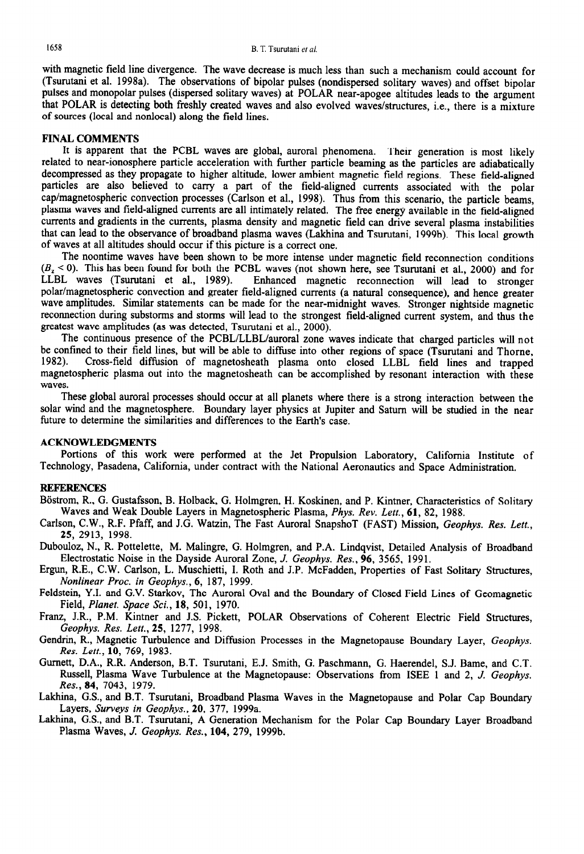with magnetic field line divergence. The wave decrease is much less than such a mechanism could account for (Tsurutani et al. 1998a). The observations of bipolar pulses (nondispersed solitary waves) and offset bipolar pulses and monopolar pulses (dispersed solitary waves) at POLAR near-apogee altitudes leads to the argument that POLAR is detecting both freshly created waves and also evolved waves/structures, i.e., there is a mixture of sources (local and nonlocal) along the field lines.

### FINAL COMMENTS

It is apparent that the PCBL waves are global, aurora1 phenomena. Their generation is most likely related to near-ionosphere particle acceleration with further particle beaming as the particles are adiabatically decompressed as they propagate to higher altitude, lower ambient magnetic field regions. These field-aligned particles are also believed to carry a part of the field-aligned currents associated with the polar cap/magnetospheric convection processes (Carlson et al., 1998). Thus from this scenario, the particle beams, plasma waves and field-aligned currents are all intimately related. The free energy available in the field-aligned currents and gradients in the currents, plasma density and magnetic field can drive several plasma instabilities that can lead to the observance of broadband plasma waves (Lakhina and Tsurutani, 1999b). This local growth of waves at all altitudes should occur if this picture is a correct one.

The noontime waves have been shown to be more intense under magnetic field reconnection conditions  $(B_z < 0)$ . This has been found for both the PCBL waves (not shown here, see Tsurutani et al., 2000) and for LLBL waves (Tsurutani et al., 1989). Enhanced magnetic reconnection will lead to stronger Enhanced magnetic reconnection will lead to stronger polar/magnetospheric convection and greater field-aligned currents (a natural consequence), and hence greater wave amplitudes. Similar statements can be made for the near-midnight waves. Stronger nightside magnetic reconnection during substorms and storms will lead to the strongest field-aligned current system, and thus the greatest wave amplitudes (as was detected, Tsurutani et al., 2000).

The continuous presence of the PCBL/LLBL/auroral zone waves indicate that charged particles will not be confined to their field lines, but will be able to diffuse into other regions of space (Tsurutani and Thorne, 1982). Cross-field diffusion of magnetosheath plasma onto closed LLBL field lines and tranned 1982). Cross-field diffusion of magnetosheath plasma onto closed LLBL field lines and trapped magnetospheric plasma out into the magnetosheath can be accomplished by resonant interaction with these waves.

These global auroral processes should occur at all planets where there is a strong interaction between the solar wind and the magnetosphere. Boundary layer physics at Jupiter and Saturn will be studied in the near future to determine the similarities and differences to the Earth's case.

# ACKNOWLEDGMENTS

Portions of this work were performed at the Jet Propulsion Laboratory, California Institute of Technology, Pasadena, California, under contract with the National Aeronautics and Space Administration,

# **REFERENCES**

Böstrom, R., G. Gustafsson, B. Holback, G. Holmgren, H. Koskinen, and P. Kintner, Characteristics of Solitary Waves and Weak Double Layers in Magnetospheric Plasma, *Phys. Rev. Lett., 61, 82,* 1988.

Carlson, C.W., R.F. Pfaff, and J.G. Watzin, The Fast Aurora1 SnapshoT (FAST) Mission, *Geophys. Res. Lett., 25,* 2913, 1998.

Dubouloz, N., R. Pottelette, M. Malingre, G. Holmgren, and P.A. Lindqvist, Detailed Analysis of Broadband Electrostatic Noise in the Dayside Aurora1 Zone, J. *Geophys. Res., 96, 3565,* 1991.

Ergun, R.E., C.W. Carlson, L. Muschietti, I. Roth and J.P. McFadden, Properties of Fast Solitary Structures, *Nonlinear Proc. in Geophys., 6, 187,* 1999.

Feldstein, Y.I. and G.V. Starkov, The Aurora1 Oval and the Boundary of Closed Field Lines of Geomagnetic Field, *Planet. Space Sci., 18,* 501, 1970.

Franz, J.R., P.M. Kintner and J.S. Pickett, POLAR Observations of Coherent Electric Field Structures, *Geophys. Res. Lett., 25, 1277,* 1998.

Gendrin, R., Magnetic Turbulence and Diffusion Processes in the Magnetopause Boundary Layer, *Geophys. Res. Lett.,* 10, 769, 1983.

Gurnett, D.A., R.R. Anderson, B.T. Tsurutani, E.J. Smith, G. Paschmann, G. Haerendel, S.J. Bame, and C.T. Russell, Plasma Wave Turbulence at the Magnetopause: Observations from ISEE 1 and 2, J. *Geophys. Res.,* 84, 7043, 1979.

Lakhina, G.S., and B.T. Tsurutani, Broadband Plasma Waves in the Magnetopause and Polar Cap Boundary Layers, Surveys *in Geophys., 20, 377,* 1999a.

Lakhina, G.S., and B.T. Tsurutani, A Generation Mechanism for the Polar Cap Boundary Layer Broadband Plasma Waves, J. *Geophys. Res.,* 104, 279, 1999b.